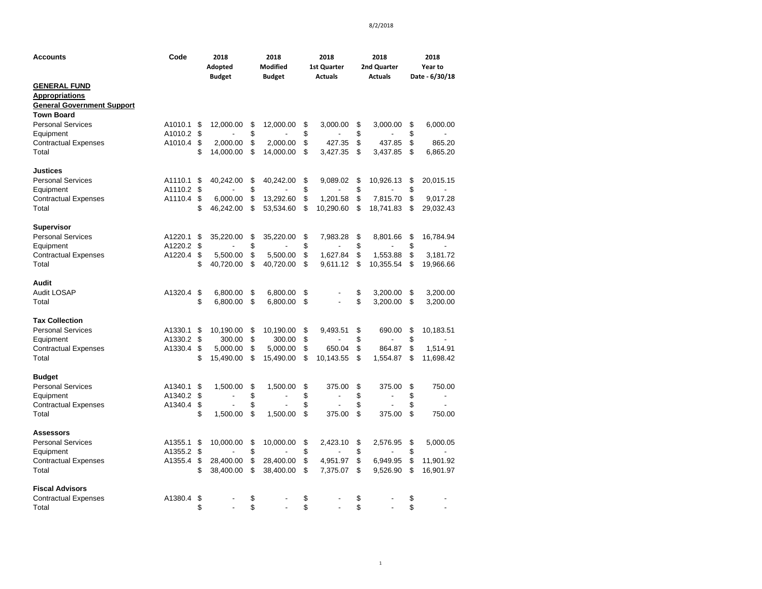| <b>Accounts</b>                                                                                        | Code               |          | 2018<br>Adopted<br><b>Budget</b> |          | 2018<br><b>Modified</b><br><b>Budget</b> |          | 2018<br><b>1st Quarter</b><br><b>Actuals</b> |          | 2018<br>2nd Quarter<br><b>Actuals</b> |          | 2018<br>Year to<br>Date - 6/30/18 |
|--------------------------------------------------------------------------------------------------------|--------------------|----------|----------------------------------|----------|------------------------------------------|----------|----------------------------------------------|----------|---------------------------------------|----------|-----------------------------------|
| <b>GENERAL FUND</b><br><b>Appropriations</b><br><b>General Government Support</b><br><b>Town Board</b> |                    |          |                                  |          |                                          |          |                                              |          |                                       |          |                                   |
| <b>Personal Services</b><br>Equipment                                                                  | A1010.1<br>A1010.2 | S.<br>\$ | 12,000.00                        | \$<br>\$ | 12,000.00                                | \$<br>\$ | 3,000.00                                     | \$<br>\$ | 3,000.00                              | \$<br>\$ | 6,000.00                          |
| <b>Contractual Expenses</b><br>Total                                                                   | A1010.4            | \$<br>\$ | 2,000.00<br>14,000.00            | \$<br>\$ | 2,000.00<br>14,000.00                    | \$<br>\$ | 427.35<br>3,427.35                           | \$<br>\$ | 437.85<br>3,437.85                    | \$<br>\$ | 865.20<br>6,865.20                |
| <b>Justices</b>                                                                                        |                    |          |                                  |          |                                          |          |                                              |          |                                       |          |                                   |
| <b>Personal Services</b><br>Equipment                                                                  | A1110.1<br>A1110.2 | \$<br>\$ | 40,242.00                        | \$<br>\$ | 40,242.00                                | \$<br>\$ | 9,089.02                                     | \$<br>\$ | 10,926.13                             | \$<br>\$ | 20,015.15                         |
| <b>Contractual Expenses</b><br>Total                                                                   | A1110.4            | \$<br>\$ | 6,000.00<br>46,242.00            | \$<br>\$ | 13,292.60<br>53,534.60                   | \$<br>\$ | 1,201.58<br>10,290.60                        | \$<br>\$ | 7,815.70<br>18,741.83                 | \$<br>\$ | 9,017.28<br>29,032.43             |
| <b>Supervisor</b>                                                                                      |                    |          |                                  |          |                                          |          |                                              |          |                                       |          |                                   |
| <b>Personal Services</b>                                                                               | A1220.1            | \$       | 35,220.00                        | \$       | 35,220.00                                | \$       | 7,983.28                                     | \$       | 8,801.66                              | \$       | 16,784.94                         |
| Equipment<br><b>Contractual Expenses</b>                                                               | A1220.2<br>A1220.4 | \$<br>\$ | 5,500.00                         | \$<br>\$ | 5,500.00                                 | \$<br>\$ | 1,627.84                                     | \$<br>\$ | 1,553.88                              | \$<br>\$ | 3,181.72                          |
| Total                                                                                                  |                    | \$       | 40,720.00                        | \$       | 40,720.00                                | \$       | 9,611.12                                     | \$       | 10,355.54                             | \$       | 19,966.66                         |
| Audit                                                                                                  |                    |          |                                  |          |                                          |          |                                              |          |                                       |          |                                   |
| Audit LOSAP<br>Total                                                                                   | A1320.4            | \$<br>\$ | 6,800.00<br>6,800.00             | \$<br>\$ | 6,800.00<br>6,800.00                     | \$<br>\$ |                                              | \$<br>\$ | 3,200.00<br>3,200.00                  | \$<br>\$ | 3,200.00<br>3,200.00              |
| <b>Tax Collection</b>                                                                                  |                    |          |                                  |          |                                          |          |                                              |          |                                       |          |                                   |
| <b>Personal Services</b>                                                                               | A1330.1            | \$       | 10,190.00                        | \$<br>\$ | 10,190.00                                | \$<br>\$ | 9.493.51                                     | \$       | 690.00                                | \$       | 10,183.51                         |
| Equipment<br><b>Contractual Expenses</b>                                                               | A1330.2<br>A1330.4 | \$<br>\$ | 300.00<br>5,000.00               | \$       | 300.00<br>5,000.00                       | \$       | 650.04                                       | \$<br>\$ | 864.87                                | \$<br>\$ | 1,514.91                          |
| Total                                                                                                  |                    | \$       | 15,490.00                        | \$       | 15,490.00                                | \$       | 10,143.55                                    | \$       | 1,554.87                              | \$       | 11,698.42                         |
| <b>Budget</b><br><b>Personal Services</b>                                                              | A1340.1            | \$       |                                  | \$       | 1,500.00                                 | \$       |                                              |          |                                       |          |                                   |
| Equipment                                                                                              | A1340.2            | \$       | 1,500.00<br>÷,                   | \$       | $\overline{a}$                           | \$       | 375.00                                       | \$<br>\$ | 375.00                                | \$<br>\$ | 750.00<br>$\blacksquare$          |
| <b>Contractual Expenses</b>                                                                            | A1340.4            | \$       |                                  | \$       |                                          | \$       |                                              | \$       |                                       | \$       |                                   |
| Total                                                                                                  |                    | \$       | 1,500.00                         | \$       | 1,500.00                                 | \$       | 375.00                                       | \$       | 375.00                                | \$       | 750.00                            |
| <b>Assessors</b>                                                                                       |                    |          |                                  |          |                                          |          |                                              |          |                                       |          |                                   |
| <b>Personal Services</b>                                                                               | A1355.1            | \$       | 10,000.00                        | \$       | 10,000.00                                | \$       | 2,423.10                                     | \$       | 2,576.95                              | \$       | 5,000.05                          |
| Equipment<br><b>Contractual Expenses</b>                                                               | A1355.2<br>A1355.4 | \$<br>\$ | 28,400.00                        | \$<br>\$ | 28,400.00                                | \$<br>\$ | 4,951.97                                     | \$<br>\$ | 6,949.95                              | \$<br>\$ | 11,901.92                         |
| Total                                                                                                  |                    | \$       | 38,400.00                        | \$       | 38,400.00                                | \$       | 7,375.07                                     | \$       | 9,526.90                              | \$       | 16,901.97                         |
| <b>Fiscal Advisors</b>                                                                                 |                    |          |                                  |          |                                          |          |                                              |          |                                       |          |                                   |
| <b>Contractual Expenses</b><br>Total                                                                   | A1380.4            | \$<br>\$ | $\overline{a}$                   | \$<br>\$ | $\overline{a}$                           | \$<br>\$ | L.                                           | \$<br>\$ |                                       | \$<br>\$ |                                   |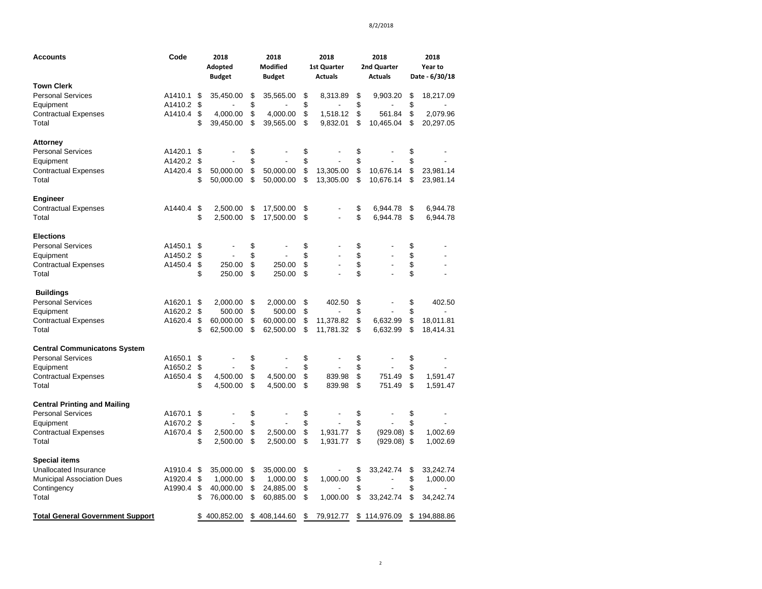| <b>Accounts</b>                         | Code    |          | 2018<br>Adopted<br><b>Budget</b> |          | 2018<br><b>Modified</b><br><b>Budget</b> |          | 2018<br>1st Quarter<br><b>Actuals</b> |          | 2018<br>2nd Quarter<br><b>Actuals</b> | 2018<br>Year to<br>Date - 6/30/18 |                      |
|-----------------------------------------|---------|----------|----------------------------------|----------|------------------------------------------|----------|---------------------------------------|----------|---------------------------------------|-----------------------------------|----------------------|
| <b>Town Clerk</b>                       |         |          |                                  |          |                                          |          |                                       |          |                                       |                                   |                      |
| <b>Personal Services</b>                | A1410.1 | S        | 35,450.00                        | \$       | 35,565.00                                | \$       | 8,313.89                              | \$       | 9,903.20                              | \$                                | 18,217.09            |
| Equipment                               | A1410.2 | \$       |                                  | \$       |                                          | \$       |                                       | \$       |                                       | \$                                |                      |
| <b>Contractual Expenses</b>             | A1410.4 | \$       | 4,000.00                         | \$       | 4.000.00                                 | \$       | 1,518.12                              | \$       | 561.84                                | \$                                | 2,079.96             |
| Total                                   |         | \$       | 39,450.00                        | \$       | 39,565.00                                | \$       | 9,832.01                              | \$       | 10,465.04                             | \$                                | 20,297.05            |
| <b>Attorney</b>                         |         |          |                                  |          |                                          |          |                                       |          |                                       |                                   |                      |
| <b>Personal Services</b>                | A1420.1 | \$       |                                  | \$       |                                          | \$       |                                       | \$       |                                       | \$                                |                      |
| Equipment                               | A1420.2 | \$       |                                  | \$       |                                          | \$       |                                       | \$       |                                       | \$                                |                      |
| <b>Contractual Expenses</b>             | A1420.4 | \$       | 50.000.00                        | \$       | 50.000.00                                | \$       | 13,305.00                             | \$       | 10,676.14                             | \$                                | 23,981.14            |
| Total                                   |         | \$       | 50,000.00                        | \$       | 50,000.00                                | \$       | 13,305.00                             | \$       | 10,676.14                             | \$                                | 23,981.14            |
| <b>Engineer</b>                         |         |          |                                  |          |                                          |          |                                       |          |                                       |                                   |                      |
| <b>Contractual Expenses</b>             | A1440.4 | \$       | 2,500.00                         | \$       | 17,500.00                                | \$       |                                       | \$       | 6,944.78                              | \$                                | 6,944.78             |
| Total                                   |         | \$       | 2,500.00                         | \$       | 17,500.00                                | \$       |                                       | \$       | 6,944.78                              | \$                                | 6,944.78             |
| <b>Elections</b>                        |         |          |                                  |          |                                          |          |                                       |          |                                       |                                   |                      |
| <b>Personal Services</b>                | A1450.1 | \$       |                                  | \$       |                                          | \$       |                                       | \$       |                                       | \$                                |                      |
| Equipment                               | A1450.2 | \$       | L.                               | \$       |                                          | \$       | ÷,                                    | \$       | Ĭ.                                    | \$                                |                      |
| <b>Contractual Expenses</b>             | A1450.4 | \$       | 250.00                           | \$       | 250.00                                   | \$       |                                       | \$       | L,                                    | \$                                |                      |
| Total                                   |         | \$       | 250.00                           | \$       | 250.00                                   | \$       |                                       | \$       |                                       | \$                                |                      |
| <b>Buildings</b>                        |         |          |                                  |          |                                          |          |                                       |          |                                       |                                   |                      |
| <b>Personal Services</b>                | A1620.1 | \$       | 2,000.00                         | \$       | 2,000.00                                 | \$       | 402.50                                | \$       |                                       | \$                                | 402.50               |
| Equipment                               | A1620.2 | \$       | 500.00                           | \$       | 500.00                                   | \$       |                                       | \$       |                                       | \$                                |                      |
| <b>Contractual Expenses</b>             | A1620.4 | \$       | 60,000.00                        | \$       | 60,000.00                                | \$       | 11,378.82                             | \$       | 6,632.99                              | \$                                | 18,011.81            |
| Total                                   |         | \$       | 62,500.00                        | \$       | 62,500.00                                | \$       | 11,781.32                             | \$       | 6,632.99                              | \$                                | 18,414.31            |
| <b>Central Communicatons System</b>     |         |          |                                  |          |                                          |          |                                       |          |                                       |                                   |                      |
| <b>Personal Services</b>                | A1650.1 | \$       |                                  | \$       |                                          | \$       |                                       | \$       |                                       | \$                                |                      |
| Equipment                               | A1650.2 | \$       |                                  | \$       |                                          | \$       |                                       | \$       |                                       | \$                                |                      |
| <b>Contractual Expenses</b>             | A1650.4 | \$       | 4,500.00                         | \$       | 4,500.00                                 | \$       | 839.98                                | \$       | 751.49                                | \$                                | 1,591.47             |
| Total                                   |         | \$       | 4,500.00                         | \$       | 4,500.00                                 | \$       | 839.98                                | \$       | 751.49                                | \$                                | 1,591.47             |
| <b>Central Printing and Mailing</b>     |         |          |                                  |          |                                          |          |                                       |          |                                       |                                   |                      |
| <b>Personal Services</b>                | A1670.1 | \$       |                                  | \$       |                                          | \$       |                                       | \$       |                                       | \$                                |                      |
| Equipment                               | A1670.2 | \$       |                                  | \$       |                                          | \$       |                                       | \$       |                                       | \$                                |                      |
| <b>Contractual Expenses</b><br>Total    | A1670.4 | \$<br>\$ | 2,500.00<br>2,500.00             | \$<br>\$ | 2,500.00<br>2,500.00                     | \$<br>\$ | 1,931.77<br>1,931.77                  | \$<br>\$ | $(929.08)$ \$<br>$(929.08)$ \$        |                                   | 1,002.69<br>1,002.69 |
|                                         |         |          |                                  |          |                                          |          |                                       |          |                                       |                                   |                      |
| <b>Special items</b>                    |         |          |                                  |          |                                          |          |                                       |          |                                       |                                   |                      |
| <b>Unallocated Insurance</b>            | A1910.4 | \$       | 35,000.00                        | \$       | 35,000.00                                | \$       |                                       | \$       | 33,242.74                             | \$                                | 33,242.74            |
| <b>Municipal Association Dues</b>       | A1920.4 | \$       | 1,000.00                         | \$       | 1,000.00                                 | \$       | 1,000.00                              | \$       | $\overline{a}$                        | \$                                | 1,000.00             |
| Contingency                             | A1990.4 | \$       | 40,000.00                        | \$       | 24,885.00                                | \$       |                                       | \$       |                                       | \$                                |                      |
| Total                                   |         | \$       | 76,000.00                        | \$       | 60,885.00                                | \$       | 1,000.00                              | \$       | 33,242.74                             | \$                                | 34,242.74            |
| <b>Total General Government Support</b> |         |          | 400,852.00                       |          | \$408,144.60                             | \$       | 79,912.77                             |          | \$114,976.09                          |                                   | \$194,888.86         |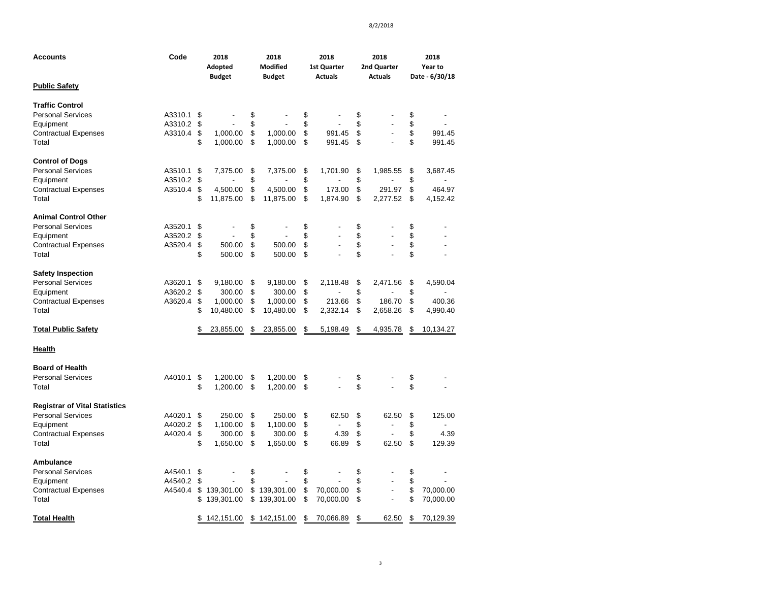| <b>Accounts</b>                      | Code    |          | 2018<br>Adopted<br><b>Budget</b> |          | 2018<br><b>Modified</b><br><b>Budget</b> |          | 2018<br><b>1st Quarter</b><br><b>Actuals</b> |          | 2018<br>2nd Quarter<br><b>Actuals</b> |          | 2018<br>Year to<br>Date - 6/30/18 |  |
|--------------------------------------|---------|----------|----------------------------------|----------|------------------------------------------|----------|----------------------------------------------|----------|---------------------------------------|----------|-----------------------------------|--|
| <b>Public Safety</b>                 |         |          |                                  |          |                                          |          |                                              |          |                                       |          |                                   |  |
| <b>Traffic Control</b>               |         |          |                                  |          |                                          |          |                                              |          |                                       |          |                                   |  |
| <b>Personal Services</b>             | A3310.1 | \$       |                                  | \$       |                                          | \$       |                                              | \$       |                                       | \$       |                                   |  |
| Equipment                            | A3310.2 | \$       |                                  | \$       |                                          | \$       |                                              | \$       |                                       | \$       |                                   |  |
| <b>Contractual Expenses</b><br>Total | A3310.4 | \$<br>\$ | 1,000.00<br>1,000.00             | \$<br>\$ | 1,000.00<br>1,000.00                     | \$<br>\$ | 991.45<br>991.45                             | \$<br>\$ | $\frac{1}{2}$                         | \$<br>\$ | 991.45<br>991.45                  |  |
| <b>Control of Dogs</b>               |         |          |                                  |          |                                          |          |                                              |          |                                       |          |                                   |  |
| <b>Personal Services</b>             | A3510.1 | \$       | 7,375.00                         | \$       | 7,375.00                                 | \$       | 1,701.90                                     | \$       | 1,985.55                              | \$       | 3,687.45                          |  |
| Equipment                            | A3510.2 | \$       |                                  | \$       |                                          | \$       |                                              | \$       |                                       | \$       |                                   |  |
| <b>Contractual Expenses</b>          | A3510.4 | \$       | 4,500.00                         | \$       | 4,500.00                                 | \$       | 173.00                                       | \$       | 291.97                                | \$       | 464.97                            |  |
| Total                                |         | \$       | 11,875.00                        | \$       | 11,875.00                                | \$       | 1,874.90                                     | \$       | 2,277.52                              | \$       | 4,152.42                          |  |
| <b>Animal Control Other</b>          |         |          |                                  |          |                                          |          |                                              |          |                                       |          |                                   |  |
| <b>Personal Services</b>             | A3520.1 | \$       |                                  | \$       |                                          | \$       |                                              | \$       |                                       | \$       |                                   |  |
| Equipment                            | A3520.2 | \$       | ÷,                               | \$       |                                          | \$       |                                              | \$       |                                       | \$       |                                   |  |
| <b>Contractual Expenses</b>          | A3520.4 | \$       | 500.00                           | \$       | 500.00                                   | \$       |                                              | \$       |                                       | \$       |                                   |  |
| Total                                |         | \$       | 500.00                           | \$       | 500.00                                   | \$       |                                              | \$       |                                       | \$       |                                   |  |
| <b>Safety Inspection</b>             |         |          |                                  |          |                                          |          |                                              |          |                                       |          |                                   |  |
| <b>Personal Services</b>             | A3620.1 | \$       | 9,180.00                         | \$       | 9,180.00                                 | \$       | 2,118.48                                     | \$       | 2,471.56                              | \$       | 4,590.04                          |  |
| Equipment                            | A3620.2 | \$       | 300.00                           | \$       | 300.00                                   | \$       |                                              | \$       |                                       | \$       |                                   |  |
| <b>Contractual Expenses</b>          | A3620.4 | \$       | 1,000.00                         | \$       | 1,000.00                                 | \$       | 213.66                                       | \$       | 186.70                                | \$       | 400.36                            |  |
| Total                                |         | \$       | 10,480.00                        | \$       | 10,480.00                                | \$       | 2,332.14                                     | \$       | 2,658.26                              | \$       | 4,990.40                          |  |
| <b>Total Public Safety</b>           |         | \$       | 23,855.00                        | \$       | 23,855.00                                | \$       | 5,198.49                                     | \$       | 4,935.78                              | \$       | 10,134.27                         |  |
| <b>Health</b>                        |         |          |                                  |          |                                          |          |                                              |          |                                       |          |                                   |  |
| <b>Board of Health</b>               |         |          |                                  |          |                                          |          |                                              |          |                                       |          |                                   |  |
| <b>Personal Services</b>             | A4010.1 | \$       | 1,200.00                         | \$       | 1,200.00                                 | \$       |                                              | \$       |                                       | \$       |                                   |  |
| Total                                |         | \$       | 1,200.00                         | \$       | 1,200.00                                 | \$       |                                              | \$       |                                       | \$       |                                   |  |
| <b>Registrar of Vital Statistics</b> |         |          |                                  |          |                                          |          |                                              |          |                                       |          |                                   |  |
| <b>Personal Services</b>             | A4020.1 | \$       | 250.00                           | \$       | 250.00                                   | \$       | 62.50                                        | \$       | 62.50                                 | \$       | 125.00                            |  |
| Equipment                            | A4020.2 | \$       | 1,100.00                         | \$       | 1,100.00                                 | \$       | $\overline{a}$                               | \$       | Ĭ.                                    | \$       |                                   |  |
| <b>Contractual Expenses</b>          | A4020.4 | \$       | 300.00                           | \$       | 300.00                                   | \$       | 4.39                                         | \$       |                                       | \$       | 4.39                              |  |
| Total                                |         | \$       | 1,650.00                         | \$       | 1,650.00                                 | \$       | 66.89                                        | \$       | 62.50                                 | \$       | 129.39                            |  |
| Ambulance                            |         |          |                                  |          |                                          |          |                                              |          |                                       |          |                                   |  |
| <b>Personal Services</b>             | A4540.1 | \$       |                                  | \$       |                                          | \$       |                                              | \$       |                                       | \$       |                                   |  |
| Equipment                            | A4540.2 | \$       | ÷,                               | \$       |                                          | \$       |                                              | \$       | Ĭ.                                    | \$       |                                   |  |
| <b>Contractual Expenses</b>          | A4540.4 | \$       | 139,301.00                       | \$       | 139,301.00                               | \$       | 70,000.00                                    | \$       | $\overline{a}$                        | \$       | 70,000.00                         |  |
| Total                                |         | \$       | 139,301.00                       | \$       | 139,301.00                               | \$       | 70,000.00                                    | \$       |                                       | \$       | 70,000.00                         |  |
| <b>Total Health</b>                  |         | \$       | 142,151.00                       |          | \$142,151.00                             | \$       | 70,066.89                                    | \$       | 62.50                                 | \$       | 70,129.39                         |  |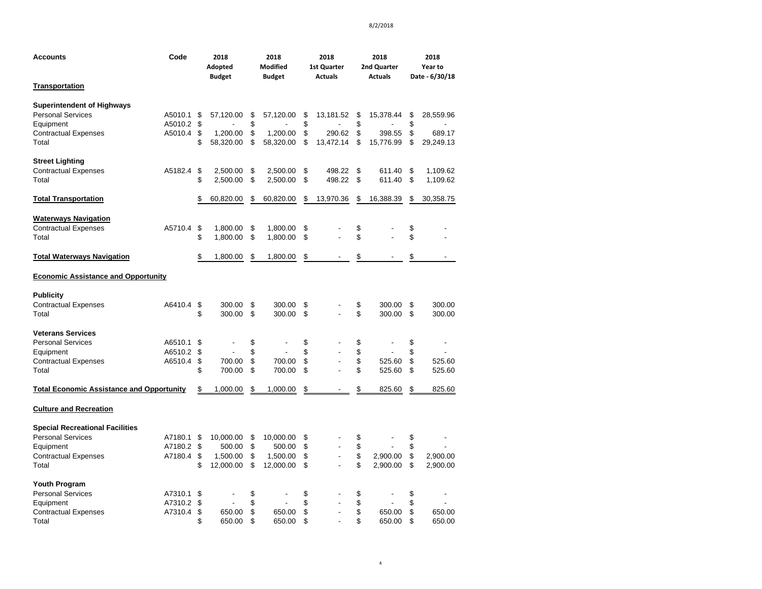| <b>Accounts</b>                                                                                                         | Code                          |                      | 2018<br>Adopted<br><b>Budget</b>             |                      | 2018<br><b>Modified</b><br><b>Budget</b>     |                      | 2018<br>1st Quarter<br><b>Actuals</b> |                      | 2018<br>2nd Quarter<br><b>Actuals</b> |                      | 2018<br>Year to<br>Date - 6/30/18 |
|-------------------------------------------------------------------------------------------------------------------------|-------------------------------|----------------------|----------------------------------------------|----------------------|----------------------------------------------|----------------------|---------------------------------------|----------------------|---------------------------------------|----------------------|-----------------------------------|
| <b>Transportation</b>                                                                                                   |                               |                      |                                              |                      |                                              |                      |                                       |                      |                                       |                      |                                   |
| <b>Superintendent of Highways</b><br><b>Personal Services</b><br>Equipment<br><b>Contractual Expenses</b><br>Total      | A5010.1<br>A5010.2<br>A5010.4 | \$<br>\$<br>\$<br>\$ | 57,120.00<br>1,200.00<br>58,320.00           | \$<br>\$<br>\$<br>\$ | 57,120.00<br>1,200.00<br>58,320.00           | \$<br>\$<br>\$<br>\$ | 13,181.52<br>290.62<br>13,472.14      | \$<br>\$<br>\$<br>\$ | 15,378.44<br>398.55<br>15,776.99      | \$<br>\$<br>\$<br>\$ | 28,559.96<br>689.17<br>29,249.13  |
| <b>Street Lighting</b><br><b>Contractual Expenses</b><br>Total                                                          | A5182.4                       | \$<br>\$             | 2,500.00<br>2,500.00                         | \$<br>\$             | 2,500.00<br>2,500.00                         | \$<br>\$             | 498.22<br>498.22                      | \$<br>\$             | 611.40<br>611.40                      | \$<br>\$             | 1,109.62<br>1,109.62              |
| <b>Total Transportation</b>                                                                                             |                               | \$                   | 60,820.00                                    | \$                   | 60,820.00                                    | \$                   | 13,970.36                             | \$                   | 16,388.39                             | \$                   | 30,358.75                         |
| <b>Waterways Navigation</b><br><b>Contractual Expenses</b><br>Total                                                     | A5710.4                       | \$<br>\$             | 1,800.00<br>1,800.00                         | \$<br>\$             | 1,800.00<br>1,800.00                         | \$<br>\$             |                                       | \$<br>\$             |                                       | \$<br>\$             |                                   |
| <b>Total Waterways Navigation</b>                                                                                       |                               | \$                   | 1,800.00                                     | \$                   | 1,800.00                                     | \$                   |                                       | \$                   |                                       | \$                   |                                   |
| <b>Economic Assistance and Opportunity</b>                                                                              |                               |                      |                                              |                      |                                              |                      |                                       |                      |                                       |                      |                                   |
| <b>Publicity</b><br><b>Contractual Expenses</b><br>Total                                                                | A6410.4                       | \$<br>\$             | 300.00<br>300.00                             | \$<br>\$             | 300.00<br>300.00                             | \$<br>\$             |                                       | \$<br>\$             | 300.00<br>300.00                      | \$<br>\$             | 300.00<br>300.00                  |
| <b>Veterans Services</b><br><b>Personal Services</b><br>Equipment<br><b>Contractual Expenses</b><br>Total               | A6510.1<br>A6510.2<br>A6510.4 | \$<br>\$<br>\$<br>\$ | 700.00<br>700.00                             | \$<br>\$<br>\$<br>\$ | 700.00<br>700.00                             | \$<br>\$<br>\$<br>\$ |                                       | \$<br>\$<br>\$<br>\$ | 525.60<br>525.60                      | \$<br>\$<br>\$<br>\$ | 525.60<br>525.60                  |
| <b>Total Economic Assistance and Opportunity</b>                                                                        |                               | \$                   | 1,000.00                                     | \$                   | 1,000.00                                     | \$                   |                                       | \$                   | 825.60                                | \$                   | 825.60                            |
| <b>Culture and Recreation</b>                                                                                           |                               |                      |                                              |                      |                                              |                      |                                       |                      |                                       |                      |                                   |
| <b>Special Recreational Facilities</b><br><b>Personal Services</b><br>Equipment<br><b>Contractual Expenses</b><br>Total | A7180.1<br>A7180.2<br>A7180.4 | \$<br>\$<br>\$<br>\$ | 10,000.00<br>500.00<br>1,500.00<br>12,000.00 | \$<br>\$<br>\$<br>\$ | 10,000.00<br>500.00<br>1,500.00<br>12,000.00 | \$<br>\$<br>\$<br>\$ |                                       | \$<br>\$<br>\$<br>\$ | 2,900.00<br>2,900.00                  | \$<br>\$<br>\$<br>\$ | 2,900.00<br>2,900.00              |
| Youth Program<br><b>Personal Services</b><br>Equipment<br><b>Contractual Expenses</b><br>Total                          | A7310.1<br>A7310.2<br>A7310.4 | \$<br>\$<br>\$<br>\$ | 650.00<br>650.00                             | \$<br>\$<br>\$<br>\$ | 650.00<br>650.00                             | \$<br>\$<br>\$<br>\$ |                                       | \$<br>\$<br>\$<br>\$ | 650.00<br>650.00                      | \$<br>\$<br>\$<br>\$ | 650.00<br>650.00                  |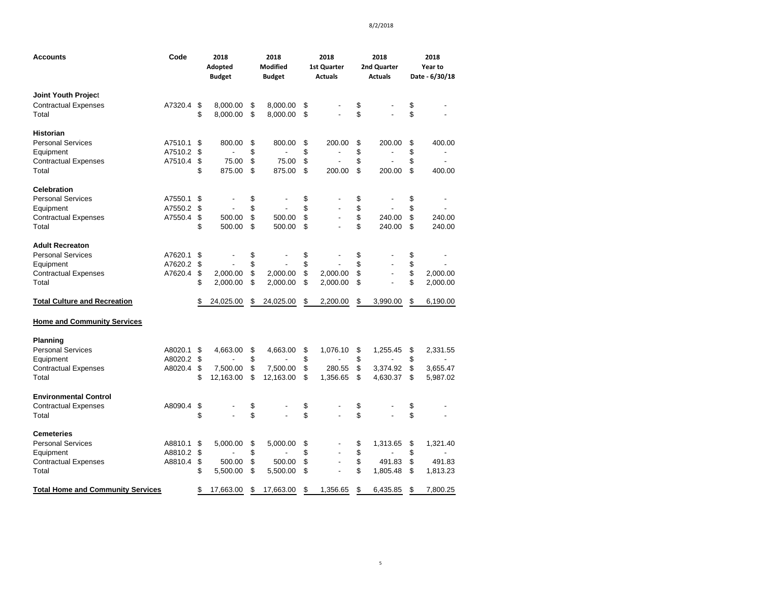| Accounts                                 | Code    |    | 2018<br>Adopted<br><b>Budget</b> | 2018<br><b>Modified</b><br><b>Budget</b> | 2018<br><b>1st Quarter</b><br><b>Actuals</b> | 2018<br>2nd Quarter<br><b>Actuals</b> | 2018<br>Year to<br>Date - 6/30/18 |
|------------------------------------------|---------|----|----------------------------------|------------------------------------------|----------------------------------------------|---------------------------------------|-----------------------------------|
|                                          |         |    |                                  |                                          |                                              |                                       |                                   |
| <b>Joint Youth Project</b>               |         |    |                                  |                                          |                                              |                                       |                                   |
| <b>Contractual Expenses</b>              | A7320.4 | \$ | 8,000.00                         | \$<br>8,000.00                           | \$                                           | \$                                    | \$                                |
| Total                                    |         | \$ | 8,000.00                         | \$<br>8,000.00                           | \$                                           | \$                                    | \$                                |
| <b>Historian</b>                         |         |    |                                  |                                          |                                              |                                       |                                   |
| <b>Personal Services</b>                 | A7510.1 | \$ | 800.00                           | \$<br>800.00                             | \$<br>200.00                                 | \$<br>200.00                          | \$<br>400.00                      |
| Equipment                                | A7510.2 | \$ |                                  | \$                                       | \$                                           | \$                                    | \$                                |
| <b>Contractual Expenses</b>              | A7510.4 | \$ | 75.00                            | \$<br>75.00                              | \$<br>÷.                                     | \$<br>$\overline{a}$                  | \$                                |
| Total                                    |         | \$ | 875.00                           | \$<br>875.00                             | \$<br>200.00                                 | \$<br>200.00                          | \$<br>400.00                      |
| <b>Celebration</b>                       |         |    |                                  |                                          |                                              |                                       |                                   |
| <b>Personal Services</b>                 | A7550.1 | \$ |                                  | \$                                       | \$                                           | \$                                    | \$                                |
| Equipment                                | A7550.2 | \$ |                                  | \$                                       | \$                                           | \$                                    | \$                                |
| <b>Contractual Expenses</b>              | A7550.4 | \$ | 500.00                           | \$<br>500.00                             | \$<br>$\overline{a}$                         | \$<br>240.00                          | \$<br>240.00                      |
| Total                                    |         | \$ | 500.00                           | \$<br>500.00                             | \$                                           | \$<br>240.00                          | \$<br>240.00                      |
| <b>Adult Recreaton</b>                   |         |    |                                  |                                          |                                              |                                       |                                   |
| <b>Personal Services</b>                 | A7620.1 | \$ |                                  | \$                                       | \$                                           | \$                                    | \$                                |
| Equipment                                | A7620.2 | \$ |                                  | \$                                       | \$                                           | \$                                    | \$                                |
| <b>Contractual Expenses</b>              | A7620.4 | \$ | 2,000.00                         | \$<br>2,000.00                           | \$<br>2,000.00                               | \$<br>$\overline{\phantom{a}}$        | \$<br>2,000.00                    |
| Total                                    |         | \$ | 2,000.00                         | \$<br>2,000.00                           | \$<br>2,000.00                               | \$                                    | \$<br>2,000.00                    |
| <b>Total Culture and Recreation</b>      |         | \$ | 24,025.00                        | \$<br>24,025.00                          | \$<br>2,200.00                               | \$<br>3,990.00                        | \$<br>6,190.00                    |
| <b>Home and Community Services</b>       |         |    |                                  |                                          |                                              |                                       |                                   |
| Planning                                 |         |    |                                  |                                          |                                              |                                       |                                   |
| <b>Personal Services</b>                 | A8020.1 | \$ | 4,663.00                         | \$<br>4,663.00                           | \$<br>1,076.10                               | \$<br>1,255.45                        | \$<br>2,331.55                    |
| Equipment                                | A8020.2 | \$ |                                  | \$                                       | \$                                           | \$<br>$\overline{a}$                  | \$                                |
| <b>Contractual Expenses</b>              | A8020.4 | \$ | 7,500.00                         | \$<br>7,500.00                           | \$<br>280.55                                 | \$<br>3,374.92                        | \$<br>3,655.47                    |
| Total                                    |         | \$ | 12,163.00                        | \$<br>12,163.00                          | \$<br>1,356.65                               | \$<br>4,630.37                        | \$<br>5,987.02                    |
| <b>Environmental Control</b>             |         |    |                                  |                                          |                                              |                                       |                                   |
| <b>Contractual Expenses</b>              | A8090.4 | \$ |                                  | \$                                       | \$                                           | \$                                    | \$                                |
| Total                                    |         | \$ |                                  | \$                                       | \$                                           | \$                                    | \$                                |
| Cemeteries                               |         |    |                                  |                                          |                                              |                                       |                                   |
| <b>Personal Services</b>                 | A8810.1 | \$ | 5,000.00                         | \$<br>5,000.00                           | \$                                           | \$<br>1,313.65                        | \$<br>1,321.40                    |
| Equipment                                | A8810.2 | \$ |                                  | \$                                       | \$                                           | \$                                    | \$                                |
| <b>Contractual Expenses</b>              | A8810.4 | \$ | 500.00                           | \$<br>500.00                             | \$<br>$\overline{\phantom{a}}$               | \$<br>491.83                          | \$<br>491.83                      |
| Total                                    |         | \$ | 5,500.00                         | \$<br>5,500.00                           | \$                                           | \$<br>1,805.48                        | \$<br>1,813.23                    |
| <b>Total Home and Community Services</b> |         | \$ | 17,663.00                        | \$<br>17,663.00                          | \$<br>1.356.65                               | \$<br>6,435.85                        | \$<br>7.800.25                    |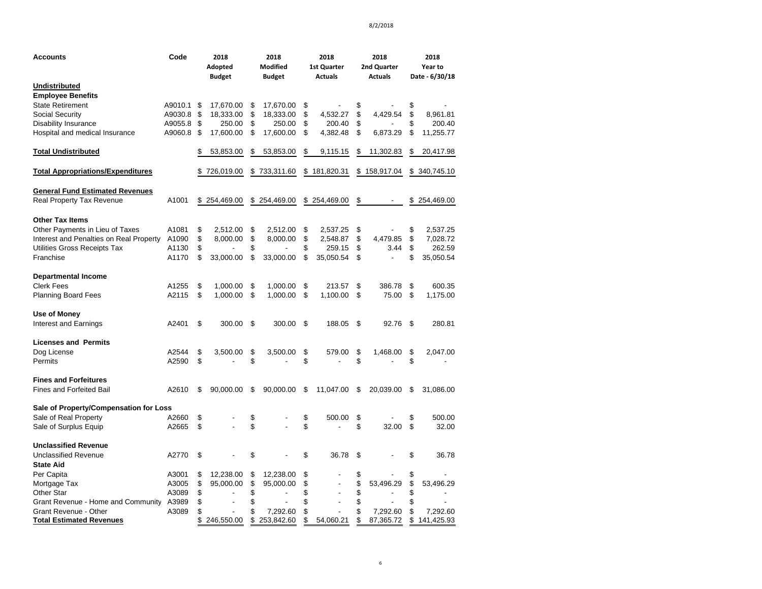| Accounts                                 | Code    | 2018<br>Adopted<br><b>Budget</b> | 2018<br><b>Modified</b><br><b>Budget</b> | 2018<br><b>1st Quarter</b><br><b>Actuals</b> | 2018<br>2nd Quarter<br><b>Actuals</b> | 2018<br>Year to<br>Date - 6/30/18 |
|------------------------------------------|---------|----------------------------------|------------------------------------------|----------------------------------------------|---------------------------------------|-----------------------------------|
| Undistributed                            |         |                                  |                                          |                                              |                                       |                                   |
| <b>Employee Benefits</b>                 |         |                                  |                                          |                                              |                                       |                                   |
| <b>State Retirement</b>                  | A9010.1 | \$<br>17,670.00                  | \$<br>17,670.00                          | \$                                           | \$                                    | \$                                |
| <b>Social Security</b>                   | A9030.8 | \$<br>18,333.00                  | \$<br>18,333.00                          | \$<br>4,532.27                               | \$<br>4,429.54                        | \$<br>8,961.81                    |
| <b>Disability Insurance</b>              | A9055.8 | \$<br>250.00                     | \$<br>250.00                             | \$<br>200.40                                 | \$                                    | \$<br>200.40                      |
| Hospital and medical Insurance           | A9060.8 | \$<br>17,600.00                  | \$<br>17,600.00                          | \$<br>4,382.48                               | \$<br>6,873.29                        | \$<br>11,255.77                   |
| <b>Total Undistributed</b>               |         | \$<br>53,853.00                  | \$<br>53,853.00                          | \$<br>9,115.15                               | \$<br>11,302.83                       | \$<br>20,417.98                   |
| <b>Total Appropriations/Expenditures</b> |         | 726,019.00                       | \$<br>733,311.60                         | \$<br>181,820.31                             | \$<br>158,917.04                      | \$<br>340,745.10                  |
| <b>General Fund Estimated Revenues</b>   |         |                                  |                                          |                                              |                                       |                                   |
| Real Property Tax Revenue                | A1001   | \$254,469.00                     | \$254,469.00                             | \$254,469.00                                 | \$                                    | \$254,469.00                      |
| <b>Other Tax Items</b>                   |         |                                  |                                          |                                              |                                       |                                   |
| Other Payments in Lieu of Taxes          | A1081   | \$<br>2,512.00                   | \$<br>2,512.00                           | \$<br>2,537.25                               | \$                                    | \$<br>2,537.25                    |
| Interest and Penalties on Real Property  | A1090   | \$<br>8,000.00                   | \$<br>8,000.00                           | \$<br>2,548.87                               | \$<br>4,479.85                        | \$<br>7,028.72                    |
| Utilities Gross Receipts Tax             | A1130   | \$                               | \$                                       | \$<br>259.15                                 | \$<br>3.44                            | \$<br>262.59                      |
| Franchise                                | A1170   | \$<br>33,000.00                  | \$<br>33,000.00                          | \$<br>35,050.54                              | \$<br>L,                              | \$<br>35,050.54                   |
| <b>Departmental Income</b>               |         |                                  |                                          |                                              |                                       |                                   |
| <b>Clerk Fees</b>                        | A1255   | \$<br>1,000.00                   | \$<br>1,000.00                           | \$<br>213.57                                 | \$<br>386.78                          | \$<br>600.35                      |
| Planning Board Fees                      | A2115   | \$<br>1,000.00                   | \$<br>1,000.00                           | \$<br>1,100.00                               | \$<br>75.00                           | \$<br>1,175.00                    |
| Use of Money                             |         |                                  |                                          |                                              |                                       |                                   |
| <b>Interest and Earnings</b>             | A2401   | \$<br>300.00                     | \$<br>300.00                             | \$<br>188.05                                 | \$<br>92.76                           | \$<br>280.81                      |
| <b>Licenses and Permits</b>              |         |                                  |                                          |                                              |                                       |                                   |
| Dog License                              | A2544   | \$<br>3,500.00                   | \$<br>3,500.00                           | \$<br>579.00                                 | \$<br>1,468.00                        | \$<br>2,047.00                    |
| Permits                                  | A2590   | \$                               | \$                                       | \$                                           | \$                                    | \$                                |
| <b>Fines and Forfeitures</b>             |         |                                  |                                          |                                              |                                       |                                   |
| <b>Fines and Forfeited Bail</b>          | A2610   | \$<br>90,000.00                  | \$<br>90,000.00                          | \$<br>11,047.00                              | \$<br>20,039.00                       | \$<br>31,086.00                   |
| Sale of Property/Compensation for Loss   |         |                                  |                                          |                                              |                                       |                                   |
| Sale of Real Property                    | A2660   | \$                               | \$                                       | \$<br>500.00                                 | \$                                    | \$<br>500.00                      |
| Sale of Surplus Equip                    | A2665   | \$                               | \$                                       | \$                                           | \$<br>32.00                           | \$<br>32.00                       |
| <b>Unclassified Revenue</b>              |         |                                  |                                          |                                              |                                       |                                   |
| <b>Unclassified Revenue</b>              | A2770   | \$                               | \$                                       | \$<br>36.78                                  | \$                                    | \$<br>36.78                       |
| <b>State Aid</b>                         |         |                                  |                                          |                                              |                                       |                                   |
| Per Capita                               | A3001   | \$<br>12,238.00                  | \$<br>12,238.00                          | \$                                           | \$                                    | \$                                |
| Mortgage Tax                             | A3005   | \$<br>95,000.00                  | \$<br>95,000.00                          | \$<br>$\overline{a}$                         | \$<br>53,496.29                       | \$<br>53,496.29                   |
| Other Star                               | A3089   | \$                               | \$                                       | \$                                           | \$                                    | \$                                |
| Grant Revenue - Home and Community       | A3989   | \$                               | \$                                       | \$<br>L.                                     | \$                                    | \$                                |
| Grant Revenue - Other                    | A3089   | \$                               | \$<br>7,292.60                           | \$                                           | \$<br>7,292.60                        | \$<br>7,292.60                    |
| <b>Total Estimated Revenues</b>          |         | \$<br>246,550.00                 | \$<br>253,842.60                         | \$<br>54,060.21                              | \$<br>87,365.72                       | \$<br>141,425.93                  |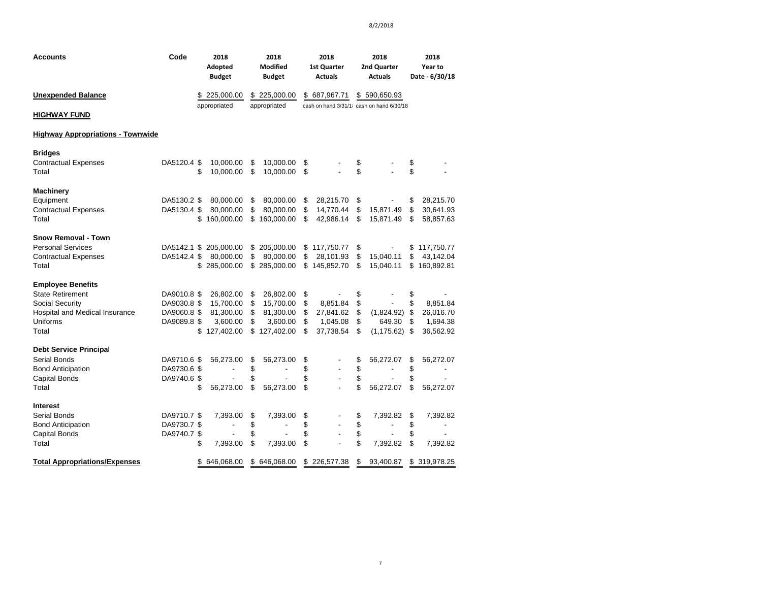| <b>Accounts</b>                                                                                                               | Code                                                     | 2018<br>Adopted<br><b>Budget</b>                                       | 2018<br><b>Modified</b><br><b>Budget</b>                                                | 2018<br><b>1st Quarter</b><br><b>Actuals</b>                                 | 2018<br>2nd Quarter<br><b>Actuals</b>                                                              | 2018<br>Year to<br>Date - 6/30/18                                      |
|-------------------------------------------------------------------------------------------------------------------------------|----------------------------------------------------------|------------------------------------------------------------------------|-----------------------------------------------------------------------------------------|------------------------------------------------------------------------------|----------------------------------------------------------------------------------------------------|------------------------------------------------------------------------|
| <b>Unexpended Balance</b>                                                                                                     |                                                          | \$225,000.00                                                           | \$225,000.00                                                                            | \$687,967.71                                                                 | \$590,650.93                                                                                       |                                                                        |
| <b>HIGHWAY FUND</b>                                                                                                           |                                                          | appropriated                                                           | appropriated                                                                            |                                                                              | cash on hand 3/31/1 cash on hand 6/30/18                                                           |                                                                        |
| <b>Highway Appropriations - Townwide</b>                                                                                      |                                                          |                                                                        |                                                                                         |                                                                              |                                                                                                    |                                                                        |
| <b>Bridges</b><br><b>Contractual Expenses</b><br>Total                                                                        | DA5120.4 \$                                              | 10,000.00<br>\$<br>10,000.00                                           | \$<br>10,000.00<br>\$<br>10,000.00                                                      | \$<br>\$                                                                     | \$<br>\$                                                                                           | \$<br>\$                                                               |
| <b>Machinery</b><br>Equipment<br><b>Contractual Expenses</b><br>Total                                                         | DA5130.2 \$<br>DA5130.4 \$                               | 80,000.00<br>80,000.00<br>160,000.00<br>S                              | \$<br>80,000.00<br>\$<br>80,000.00<br>\$160,000.00                                      | \$<br>28,215.70<br>\$<br>14,770.44<br>\$<br>42,986.14                        | \$<br>15,871.49<br>\$<br>\$<br>15,871.49                                                           | \$<br>28,215.70<br>\$<br>30,641.93<br>\$<br>58,857.63                  |
| <b>Snow Removal - Town</b><br><b>Personal Services</b><br><b>Contractual Expenses</b><br>Total                                | DA5142.4 \$                                              | DA5142.1 \$ 205,000.00<br>80,000.00<br>285,000.00<br>\$                | \$205,000.00<br>\$<br>80,000.00<br>\$285,000.00                                         | \$<br>117,750.77<br>\$<br>28,101.93<br>\$<br>145,852.70                      | \$<br>$\blacksquare$<br>\$<br>15,040.11<br>\$<br>15,040.11                                         | \$117,750.77<br>\$<br>43,142.04<br>\$<br>160,892.81                    |
| <b>Employee Benefits</b><br><b>State Retirement</b><br>Social Security<br>Hospital and Medical Insurance<br>Uniforms<br>Total | DA9010.8 \$<br>DA9030.8 \$<br>DA9060.8 \$<br>DA9089.8 \$ | 26,802.00<br>15,700.00<br>81,300.00<br>3,600.00<br>\$127,402.00        | \$<br>26,802.00<br>\$<br>15,700.00<br>\$<br>81,300.00<br>\$<br>3,600.00<br>\$127,402.00 | \$<br>\$<br>8,851.84<br>\$<br>27,841.62<br>\$<br>1,045.08<br>\$<br>37,738.54 | \$<br>\$<br>$\overline{\phantom{a}}$<br>\$<br>(1,824.92)<br>\$<br>649.30<br>\$<br>$(1, 175.62)$ \$ | \$<br>\$<br>8,851.84<br>\$<br>26,016.70<br>\$<br>1,694.38<br>36,562.92 |
| <b>Debt Service Principal</b><br>Serial Bonds<br><b>Bond Anticipation</b><br>Capital Bonds<br>Total                           | DA9710.6 \$<br>DA9730.6 \$<br>DA9740.6 \$                | 56,273.00<br>$\overline{\phantom{a}}$<br>\$<br>56,273.00               | \$<br>56,273.00<br>\$<br>\$<br>\$<br>56,273.00                                          | \$<br>\$<br>\$<br>\$                                                         | \$<br>56,272.07<br>\$<br>\$<br>\$<br>56,272.07                                                     | 56,272.07<br>\$<br>\$<br>\$<br>\$<br>56,272.07                         |
| Interest<br>Serial Bonds<br><b>Bond Anticipation</b><br>Capital Bonds<br>Total<br><b>Total Appropriations/Expenses</b>        | DA9710.7 \$<br>DA9730.7 \$<br>DA9740.7 \$                | 7,393.00<br>$\overline{\phantom{a}}$<br>\$<br>7,393.00<br>\$646,068.00 | \$<br>7,393.00<br>\$<br>\$<br>\$<br>7,393.00<br>\$646,068.00                            | \$<br>\$<br>$\overline{\phantom{a}}$<br>\$<br>\$<br>\$<br>226,577.38         | \$<br>7,392.82<br>\$<br>\$<br>\$<br>7,392.82<br>\$<br>93,400.87                                    | \$<br>7,392.82<br>\$<br>\$<br>\$<br>7,392.82<br>\$319,978.25           |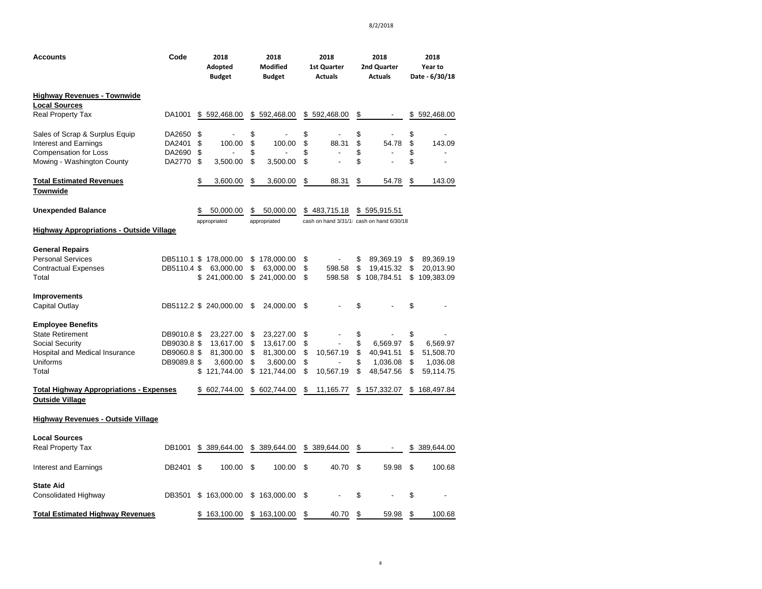| <b>Accounts</b>                                                                                                               | Code                                                     |                      | 2018<br>Adopted<br><b>Budget</b>                              |                            | 2018<br>Modified<br><b>Budget</b>                             |                            | 2018<br>1st Quarter<br><b>Actuals</b>                    |                            | 2018<br>2nd Quarter<br><b>Actuals</b>          |                            | 2018<br>Year to<br>Date - 6/30/18              |
|-------------------------------------------------------------------------------------------------------------------------------|----------------------------------------------------------|----------------------|---------------------------------------------------------------|----------------------------|---------------------------------------------------------------|----------------------------|----------------------------------------------------------|----------------------------|------------------------------------------------|----------------------------|------------------------------------------------|
| <b>Highway Revenues - Townwide</b>                                                                                            |                                                          |                      |                                                               |                            |                                                               |                            |                                                          |                            |                                                |                            |                                                |
| <b>Local Sources</b><br><b>Real Property Tax</b>                                                                              | DA1001                                                   | \$                   | 592,468.00                                                    | \$                         | 592,468.00                                                    | \$                         | 592,468.00                                               | \$                         | $\overline{\phantom{a}}$                       | \$                         | 592,468.00                                     |
| Sales of Scrap & Surplus Equip<br>Interest and Earnings<br><b>Compensation for Loss</b><br>Mowing - Washington County         | DA2650<br>DA2401<br>DA2690<br>DA2770                     | \$<br>\$<br>\$<br>\$ | 100.00<br>3,500.00                                            | \$<br>\$<br>\$<br>\$       | 100.00<br>3,500.00                                            | \$<br>\$<br>\$<br>\$       | 88.31<br>$\blacksquare$                                  | \$<br>\$<br>\$<br>\$       | 54.78                                          | \$<br>\$<br>\$<br>\$       | 143.09                                         |
| <b>Total Estimated Revenues</b><br>Townwide                                                                                   |                                                          | \$                   | 3,600.00                                                      | \$                         | 3,600.00                                                      | \$                         | 88.31                                                    | \$                         | 54.78                                          | \$                         | 143.09                                         |
| <b>Unexpended Balance</b>                                                                                                     |                                                          | \$                   | 50,000.00<br>appropriated                                     | S                          | 50,000.00<br>appropriated                                     |                            | \$483,715.18<br>cash on hand 3/31/1 cash on hand 6/30/18 |                            | \$595,915.51                                   |                            |                                                |
| <b>Highway Appropriations - Outside Village</b>                                                                               |                                                          |                      |                                                               |                            |                                                               |                            |                                                          |                            |                                                |                            |                                                |
| <b>General Repairs</b><br><b>Personal Services</b><br><b>Contractual Expenses</b><br>Total                                    | DB5110.4 \$                                              | \$                   | DB5110.1 \$ 178,000.00<br>63,000.00<br>241,000.00             | \$<br>\$                   | 178,000.00<br>63,000.00<br>\$241,000.00                       | \$<br>\$<br>\$             | 598.58<br>598.58                                         | \$<br>\$<br>\$             | 89,369.19<br>19,415.32<br>108,784.51           | \$<br>\$<br>\$             | 89,369.19<br>20,013.90<br>109,383.09           |
| <b>Improvements</b><br>Capital Outlay                                                                                         |                                                          |                      | DB5112.2 \$ 240,000.00                                        | \$                         | 24,000.00                                                     | \$                         |                                                          | \$                         |                                                | \$                         |                                                |
| <b>Employee Benefits</b><br><b>State Retirement</b><br>Social Security<br>Hospital and Medical Insurance<br>Uniforms<br>Total | DB9010.8 \$<br>DB9030.8 \$<br>DB9060.8 \$<br>DB9089.8 \$ | \$                   | 23,227.00<br>13,617.00<br>81,300.00<br>3,600.00<br>121,744.00 | \$<br>\$<br>\$<br>\$<br>\$ | 23,227.00<br>13,617.00<br>81,300.00<br>3,600.00<br>121,744.00 | \$<br>\$<br>\$<br>\$<br>\$ | 10,567.19<br>10,567.19                                   | \$<br>\$<br>\$<br>\$<br>\$ | 6,569.97<br>40,941.51<br>1,036.08<br>48,547.56 | \$<br>\$<br>\$<br>\$<br>\$ | 6,569.97<br>51,508.70<br>1,036.08<br>59,114.75 |
| <b>Total Highway Appropriations - Expenses</b><br><b>Outside Village</b>                                                      |                                                          |                      | \$ 602,744.00                                                 |                            | \$602,744.00                                                  | \$                         | 11,165.77                                                |                            | \$157,332.07                                   |                            | \$168,497.84                                   |
| <b>Highway Revenues - Outside Village</b>                                                                                     |                                                          |                      |                                                               |                            |                                                               |                            |                                                          |                            |                                                |                            |                                                |
| <b>Local Sources</b>                                                                                                          |                                                          |                      |                                                               |                            |                                                               |                            |                                                          |                            |                                                |                            |                                                |
| <b>Real Property Tax</b>                                                                                                      | DB1001                                                   |                      | \$ 389,644.00                                                 |                            | \$ 389,644.00                                                 |                            | \$ 389,644.00                                            | \$                         |                                                |                            | \$ 389,644.00                                  |
| Interest and Earnings                                                                                                         | DB2401                                                   | \$                   | 100.00                                                        | \$                         | 100.00                                                        | \$                         | 40.70                                                    | \$                         | 59.98                                          | \$                         | 100.68                                         |
| <b>State Aid</b><br>Consolidated Highway                                                                                      | DB3501                                                   |                      | \$163,000.00                                                  |                            | \$163,000.00                                                  | \$                         |                                                          | \$                         |                                                | \$                         |                                                |
| <b>Total Estimated Highway Revenues</b>                                                                                       |                                                          | \$                   | 163,100.00                                                    |                            | \$163,100.00                                                  | \$                         | 40.70                                                    | \$                         | 59.98                                          | \$                         | 100.68                                         |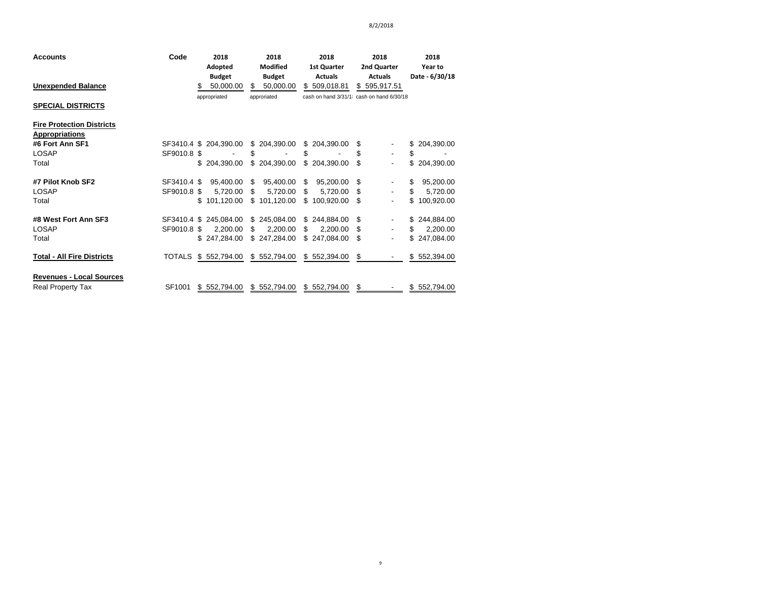| <b>Accounts</b>                   | Code          | 2018                   | 2018            | 2018               | 2018                                     | 2018             |
|-----------------------------------|---------------|------------------------|-----------------|--------------------|------------------------------------------|------------------|
|                                   |               | Adopted                | <b>Modified</b> | <b>1st Quarter</b> | 2nd Quarter                              | Year to          |
|                                   |               | <b>Budget</b>          | <b>Budget</b>   | <b>Actuals</b>     | <b>Actuals</b>                           | Date - 6/30/18   |
| <b>Unexpended Balance</b>         |               | 50,000.00<br>S         | S<br>50,000.00  | \$<br>509,018.81   | \$595,917.51                             |                  |
|                                   |               | appropriated           | approriated     |                    | cash on hand 3/31/1 cash on hand 6/30/18 |                  |
| <b>SPECIAL DISTRICTS</b>          |               |                        |                 |                    |                                          |                  |
| <b>Fire Protection Districts</b>  |               |                        |                 |                    |                                          |                  |
| <b>Appropriations</b>             |               |                        |                 |                    |                                          |                  |
| #6 Fort Ann SF1                   |               | SF3410.4 \$ 204,390.00 | \$204,390.00    | \$204,390.00       | S                                        | \$ 204,390.00    |
| <b>LOSAP</b>                      | SF9010.8 \$   |                        | S               | \$                 | \$                                       | \$               |
| Total                             |               | \$204,390.00           | \$204,390.00    | \$204,390.00       | \$<br>$\overline{\phantom{a}}$           | \$204,390.00     |
| #7 Pilot Knob SF2                 | SF3410.4 \$   | 95,400.00              | 95,400.00<br>\$ | 95,200.00 \$<br>\$ |                                          | \$<br>95,200.00  |
| <b>LOSAP</b>                      | SF9010.8 \$   | 5,720.00               | 5,720.00<br>\$  | \$<br>5,720.00 \$  |                                          | \$<br>5,720.00   |
| Total                             |               | \$101,120.00           | \$101,120.00    | \$<br>100,920.00   | - \$                                     | \$<br>100,920.00 |
| #8 West Fort Ann SF3              |               | SF3410.4 \$ 245,084.00 | \$245,084.00    | \$244,884.00       | -S                                       | \$244,884.00     |
| <b>LOSAP</b>                      | SF9010.8 \$   | 2,200.00               | 2,200.00<br>\$. | \$<br>2,200.00     | - \$                                     | \$<br>2,200.00   |
| Total                             |               | \$247,284.00           | \$247,284.00    | \$247,084.00       | -\$<br>$\overline{\phantom{a}}$          | \$247,084.00     |
| <b>Total - All Fire Districts</b> | <b>TOTALS</b> | \$552,794.00           | \$552,794.00    | \$552,394.00       | \$                                       | \$552,394.00     |
| <b>Revenues - Local Sources</b>   |               |                        |                 |                    |                                          |                  |
| <b>Real Property Tax</b>          | SF1001        | \$552,794.00           | \$552,794.00    | \$552,794.00       | S                                        | \$552,794.00     |